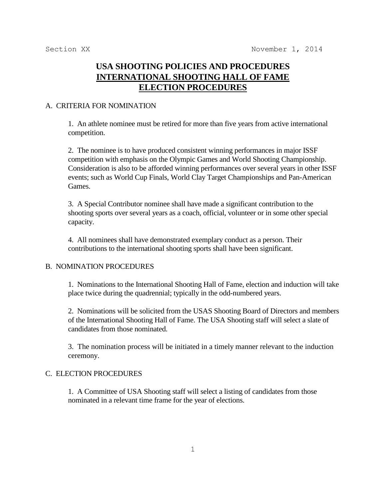# **USA SHOOTING POLICIES AND PROCEDURES INTERNATIONAL SHOOTING HALL OF FAME ELECTION PROCEDURES**

## A. CRITERIA FOR NOMINATION

1. An athlete nominee must be retired for more than five years from active international competition.

2. The nominee is to have produced consistent winning performances in major ISSF competition with emphasis on the Olympic Games and World Shooting Championship. Consideration is also to be afforded winning performances over several years in other ISSF events; such as World Cup Finals, World Clay Target Championships and Pan-American Games.

3. A Special Contributor nominee shall have made a significant contribution to the shooting sports over several years as a coach, official, volunteer or in some other special capacity.

4. All nominees shall have demonstrated exemplary conduct as a person. Their contributions to the international shooting sports shall have been significant.

#### B. NOMINATION PROCEDURES

1. Nominations to the International Shooting Hall of Fame, election and induction will take place twice during the quadrennial; typically in the odd-numbered years.

2. Nominations will be solicited from the USAS Shooting Board of Directors and members of the International Shooting Hall of Fame. The USA Shooting staff will select a slate of candidates from those nominated.

3. The nomination process will be initiated in a timely manner relevant to the induction ceremony.

#### C. ELECTION PROCEDURES

1. A Committee of USA Shooting staff will select a listing of candidates from those nominated in a relevant time frame for the year of elections.